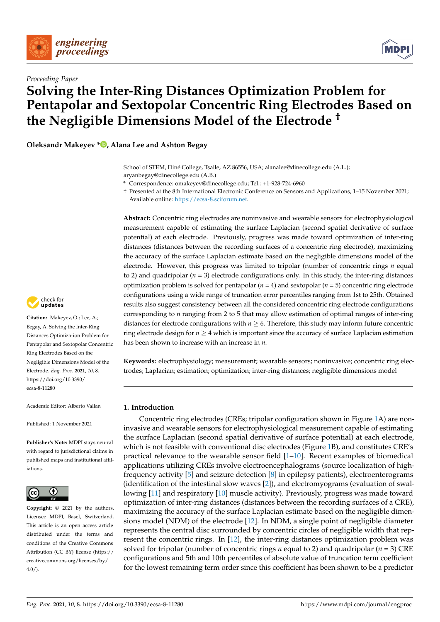



# **Solving the Inter-Ring Distances Optimization Problem for Pentapolar and Sextopolar Concentric Ring Electrodes Based on the Negligible Dimensions Model of the Electrode †**

**Oleksandr Makeyev \* [,](https://orcid.org/0000-0003-2648-0500) Alana Lee and Ashton Begay**

**\*** Correspondence: omakeyev@dinecollege.edu; Tel.: +1-928-724-6960

† Presented at the 8th International Electronic Conference on Sensors and Applications, 1–15 November 2021; Available online: [https://ecsa-8.sciforum.net.](https://ecsa-8.sciforum.net)

**Abstract:** Concentric ring electrodes are noninvasive and wearable sensors for electrophysiological measurement capable of estimating the surface Laplacian (second spatial derivative of surface potential) at each electrode. Previously, progress was made toward optimization of inter-ring distances (distances between the recording surfaces of a concentric ring electrode), maximizing the accuracy of the surface Laplacian estimate based on the negligible dimensions model of the electrode. However, this progress was limited to tripolar (number of concentric rings *n* equal to 2) and quadripolar  $(n = 3)$  electrode configurations only. In this study, the inter-ring distances optimization problem is solved for pentapolar (*n* = 4) and sextopolar (*n* = 5) concentric ring electrode configurations using a wide range of truncation error percentiles ranging from 1st to 25th. Obtained results also suggest consistency between all the considered concentric ring electrode configurations corresponding to *n* ranging from 2 to 5 that may allow estimation of optimal ranges of inter-ring distances for electrode configurations with  $n \geq 6$ . Therefore, this study may inform future concentric ring electrode design for  $n \geq 4$  which is important since the accuracy of surface Laplacian estimation has been shown to increase with an increase in *n*.

**Keywords:** electrophysiology; measurement; wearable sensors; noninvasive; concentric ring electrodes; Laplacian; estimation; optimization; inter-ring distances; negligible dimensions model

#### **1. Introduction**

Concentric ring electrodes (CREs; tripolar configuration shown in Figure [1A](#page-1-0)) are noninvasive and wearable sensors for electrophysiological measurement capable of estimating the surface Laplacian (second spatial derivative of surface potential) at each electrode, which is not feasible with conventional disc electrodes (Figure [1B](#page-1-0)), and constitutes CRE's practical relevance to the wearable sensor field [\[1](#page-5-0)[–10\]](#page-5-1). Recent examples of biomedical applications utilizing CREs involve electroencephalograms (source localization of highfrequency activity [\[5\]](#page-5-2) and seizure detection [\[8\]](#page-5-3) in epilepsy patients), electroenterograms (identification of the intestinal slow waves [\[2\]](#page-5-4)), and electromyograms (evaluation of swallowing [\[11\]](#page-5-5) and respiratory [\[10\]](#page-5-1) muscle activity). Previously, progress was made toward optimization of inter-ring distances (distances between the recording surfaces of a CRE), maximizing the accuracy of the surface Laplacian estimate based on the negligible dimensions model (NDM) of the electrode [\[12\]](#page-5-6). In NDM, a single point of negligible diameter represents the central disc surrounded by concentric circles of negligible width that represent the concentric rings. In [\[12\]](#page-5-6), the inter-ring distances optimization problem was solved for tripolar (number of concentric rings *n* equal to 2) and quadripolar (*n* = 3) CRE configurations and 5th and 10th percentiles of absolute value of truncation term coefficient for the lowest remaining term order since this coefficient has been shown to be a predictor



**Citation:** Makeyev, O.; Lee, A.; Begay, A. Solving the Inter-Ring Distances Optimization Problem for Pentapolar and Sextopolar Concentric Ring Electrodes Based on the Negligible Dimensions Model of the Electrode. *Eng. Proc.* **2021**, *10*, 8. [https://doi.org/10.3390/](https://doi.org/10.3390/ecsa-8-11280) [ecsa-8-11280](https://doi.org/10.3390/ecsa-8-11280)

Academic Editor: Alberto Vallan

Published: 1 November 2021

**Publisher's Note:** MDPI stays neutral with regard to jurisdictional claims in published maps and institutional affiliations.



**Copyright:** © 2021 by the authors. Licensee MDPI, Basel, Switzerland. This article is an open access article distributed under the terms and conditions of the Creative Commons Attribution (CC BY) license (https:/[/](https://creativecommons.org/licenses/by/4.0/) [creativecommons.org/licenses/by/](https://creativecommons.org/licenses/by/4.0/)  $4.0/$ ).



School of STEM, Diné College, Tsaile, AZ 86556, USA; alanalee@dinecollege.edu (A.L.); aryanbegay@dinecollege.edu (A.B.)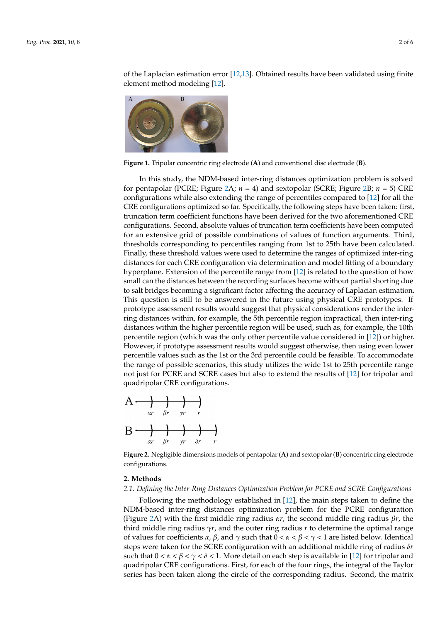of the Laplacian esti[mat](#page-5-6)[ion](#page-5-7) error [12,13]. Obtained results have been validated using finite element meth[od m](#page-5-6)odeling [12].

<span id="page-1-0"></span>

**Figure 1.** Tripolar concentric ring electrode (**A**) and conventional disc electrode (**B**). **Figure 1.** Tripolar concentric ring electrode (**A**) and conventional disc electrode (**B**).

In this study, the NDM-based inter-ring distances optimization problem is solved for pentapolar (PCRE; Figure [2A](#page-1-1);  $n = 4$  $n = 4$  $n = 4$ ) and sextopolar (SCRE; Figure 2B;  $n = 5$ ) CRE configurations while also extending the range of percentiles compared to [\[12\]](#page-5-6) for all the CRE configurations optimized so far. Specifically, the following steps have been taken: first, truncation term coefficient functions have been derived for the two aforementioned CRE truncation term coefficient functions have been derived for the two aforementioned CRE configurations. Second, absolute values of truncation term coefficients have been computed for an extensive grid of possible combinations of values of function arguments. Third, thresholds corresponding to percentiles ranging from 1st to 25th have been calculated. Finally, these threshold values were used to determine the ranges of optimized inter-ring distances for each CRE configuration via determination and model fitting of a boundary hyperplane. Extension of the percentile range from [\[12\]](#page-5-6) is related to the question of how small can the distances between the recording surfaces become without partial shorting due to salt bridges becoming a significant factor affecting the accuracy of Laplacian estimation. This question is still to be answered in the future using physical CRE prototypes. If prototype assessment results would suggest that physical considerations render the interring distances within, for example, the 5th percentile region impractical, then inter-ring distances within the higher percentile region will be used, such as, for example, the 10th percentile region (which was the only other percentile value considered in [\[12\]](#page-5-6)) or higher. However, if prototype assessment results would suggest otherwise, then using even lower percentile values such as the 1st or the 3rd percentile could be feasible. To accommodate the range of possible scenarios, this study utilizes the wide 1st to 25th percentile range not just for PCRE and SCRE cases but also to extend the results of [\[12\]](#page-5-6) for tripolar and quadripolar CRE configurations. In this study, the NDM-based inter-ring distances optimization problem is solved for per a measure 2012 and sextending the 2-1 ing distances optimization problem is solved The short corresponding to personal complements of the percentile ranging from 1st to 25th have been calculated

<span id="page-1-1"></span>

configurations. Figure 2. Negligible dimensions models of pentapolar  $(A)$  and sextopolar  $(B)$  concentric ring electrode

### **2. Methods 2. Methods**

trode configurations.

## **2. Methods**  *2.1. Defining the Inter-Ring Distances Optimization Problem for PCRE and SCRE Configura-2.1. Defining the Inter-Ring Distances Optimization Problem for PCRE and SCRE Configurations*

*2.1. Defining the Inter-Ring Distances Optimization [Pro](#page-5-6)blem for PCRE and SCRE Configura-*Following the methodology established in [12], the main steps taken to define the *tions*  re  $\angle A$ ) with the first middle ring radius  $\alpha r$ , the second middle ring radius  $\beta r$ , the Initial middle ring radius  $\gamma r$ , and the outer-ring radius  $r$  to determine the optimal range  $\alpha$  values for coefficients *α*, *p*, and  $\gamma$  such that  $0 < a < p < \gamma < 1$  are fisted below. Identical middle ring radius *γr*, and the outer ring radius *r* to determine the optimal range of values  $\frac{d}{dx}$  and  $\frac{d}{dx}$   $\frac{d}{dx}$   $\frac{d}{dx}$   $\frac{d}{dx}$  and  $\frac{d}{dx}$  are light of each step is available in [12] for tripolar and *tions*  Following the methodology established in [12], the main steps taken to define the (Figure [2A](#page-1-1)) with the first middle ring radius *αr*, the second middle ring radius *βr*, the third middle ring radius *γ<sup>r</sup>*, and the outer ring radius *r* to determine the optimal range third middle ring radius *γr*, and the outer ring radius *r* to determine the optimal range of values for coefficients  $\alpha$ ,  $\beta$ , and  $\gamma$  such that  $0 < \alpha < \beta < \gamma < 1$  are listed below. Identical middle ring radius *γr*, and the outer ring radius *r* to determine the optimal range of values steps were taken for the SCRE configuration with an additional middle ring of radius *δr* such that  $0 < \alpha < \beta < \gamma < \delta < 1$ . More detail on each step is available in [\[12\]](#page-5-6) for tripolar and NDM-based inter-ring distances optimization problem for the PCRE configuration quadripolar CRE configurations. First, for each of the four rings, the integral of the Taylor series has been taken along the circle of the corresponding radius. Second, the matrix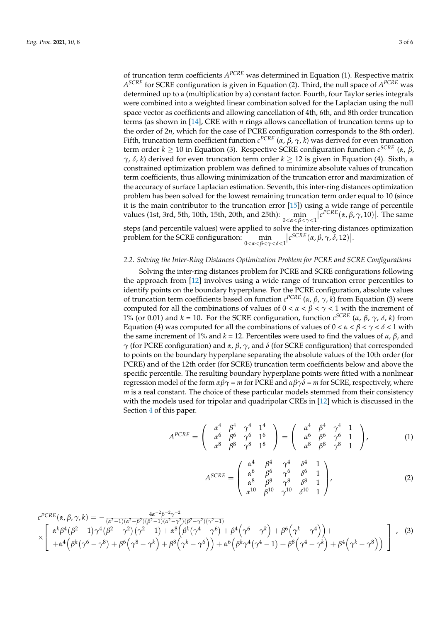of truncation term coefficients *A PCRE* was determined in Equation (1). Respective matrix *A SCRE* for SCRE configuration is given in Equation (2). Third, the null space of *A PCRE* was determined up to a (multiplication by a) constant factor. Fourth, four Taylor series integrals were combined into a weighted linear combination solved for the Laplacian using the null space vector as coefficients and allowing cancellation of 4th, 6th, and 8th order truncation terms (as shown in [\[14\]](#page-5-8), CRE with *n* rings allows cancellation of truncation terms up to the order of 2*n*, which for the case of PCRE configuration corresponds to the 8th order). Fifth, truncation term coefficient function *c PCRE* (*α*, *β*, *γ*, *k*) was derived for even truncation term order *k* ≥ 10 in Equation (3). Respective SCRE configuration function *c SCRE* (*α*, *β*, *γ*, *δ*, *k*) derived for even truncation term order *k* ≥ 12 is given in Equation (4). Sixth, a constrained optimization problem was defined to minimize absolute values of truncation term coefficients, thus allowing minimization of the truncation error and maximization of the accuracy of surface Laplacian estimation. Seventh, this inter-ring distances optimization problem has been solved for the lowest remaining truncation term order equal to 10 (since it is the main contributor to the truncation error [\[15\]](#page-5-9)) using a wide range of percentile values (1st, 3rd, 5th, 10th, 15th, 20th, and 25th): min 0<*α*<*β*<*γ*<1  $|c^{PCRE}(\alpha, \beta, \gamma, 10)|$ . The same steps (and percentile values) were applied to solve the inter-ring distances optimization  $\left|c^{SCRE}(\alpha, \beta, \gamma, \delta, 12)\right|$ .

problem for the SCRE configuration: min 0<*α*<*β*<*γ*<*δ*<1

#### *2.2. Solving the Inter-Ring Distances Optimization Problem for PCRE and SCRE Configurations*

Solving the inter-ring distances problem for PCRE and SCRE configurations following the approach from [\[12\]](#page-5-6) involves using a wide range of truncation error percentiles to identify points on the boundary hyperplane. For the PCRE configuration, absolute values of truncation term coefficients based on function *c PCRE* (*α*, *β*, *γ*, *k*) from Equation (3) were computed for all the combinations of values of 0 < *α* < *β* < *γ* < 1 with the increment of 1% (or 0.01) and *k* = 10. For the SCRE configuration, function *c SCRE* (*α*, *β*, *γ*, *δ*, *k*) from Equation (4) was computed for all the combinations of values of  $0 < \alpha < \beta < \gamma < \delta < 1$  with the same increment of 1% and  $k = 12$ . Percentiles were used to find the values of *α*, *β*, and *γ* (for PCRE configuration) and *α*, *β*, *γ*, and *δ* (for SCRE configuration) that corresponded to points on the boundary hyperplane separating the absolute values of the 10th order (for PCRE) and of the 12th order (for SCRE) truncation term coefficients below and above the specific percentile. The resulting boundary hyperplane points were fitted with a nonlinear regression model of the form *αβγ* = *m* for PCRE and *αβγδ* = *m* for SCRE, respectively, where *m* is a real constant. The choice of these particular models stemmed from their consistency with the models used for tripolar and quadripolar CREs in [\[12\]](#page-5-6) which is discussed in the Section [4](#page-3-0) of this paper.

$$
A^{PCRE} = \begin{pmatrix} \alpha^4 & \beta^4 & \gamma^4 & 1^4 \\ \alpha^6 & \beta^6 & \gamma^6 & 1^6 \\ \alpha^8 & \beta^8 & \gamma^8 & 1^8 \end{pmatrix} = \begin{pmatrix} \alpha^4 & \beta^4 & \gamma^4 & 1 \\ \alpha^6 & \beta^6 & \gamma^6 & 1 \\ \alpha^8 & \beta^8 & \gamma^8 & 1 \end{pmatrix},
$$
(1)

$$
A^{SCRE} = \begin{pmatrix} \alpha^4 & \beta^4 & \gamma^4 & \delta^4 & 1 \\ \alpha^6 & \beta^6 & \gamma^6 & \delta^6 & 1 \\ \alpha^8 & \beta^8 & \gamma^8 & \delta^8 & 1 \\ \alpha^{10} & \beta^{10} & \gamma^{10} & \delta^{10} & 1 \end{pmatrix},
$$
 (2)

$$
c^{PCRE}(\alpha, \beta, \gamma, k) = -\frac{4\alpha^{-2}\beta^{-2}\gamma^{-2}}{(\alpha^2 - 1)(\alpha^2 - \beta^2)(\beta^2 - 1)(\alpha^2 - \gamma^2)(\beta^2 - \gamma^2)(\gamma^2 - 1)} \times \left[ \begin{array}{l} \alpha^k \beta^4 (\beta^2 - 1) \gamma^4 (\beta^2 - \gamma^2) (\gamma^2 - 1) + \alpha^8 (\beta^k (\gamma^4 - \gamma^6) + \beta^4 (\gamma^6 - \gamma^k) + \beta^6 (\gamma^k - \gamma^4)) + \\ + \alpha^4 (\beta^k (\gamma^6 - \gamma^8) + \beta^6 (\gamma^8 - \gamma^k) + \beta^8 (\gamma^k - \gamma^6)) + \alpha^6 (\beta^k \gamma^4 (\gamma^4 - 1) + \beta^8 (\gamma^4 - \gamma^k) + \beta^4 (\gamma^k - \gamma^8)) \end{array} \right], \quad (3)
$$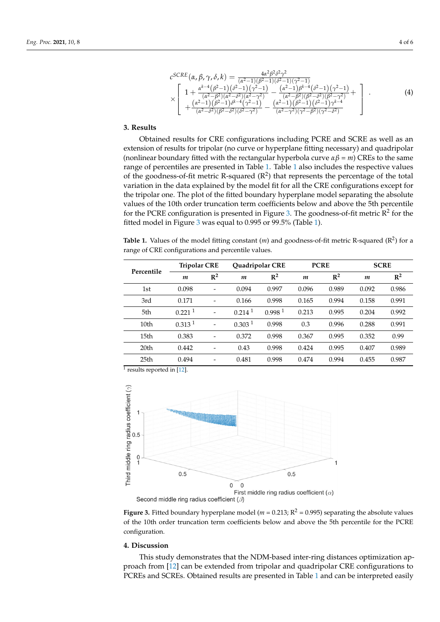$$
c^{SCRE}(\alpha, \beta, \gamma, \delta, k) = \frac{4\alpha^2 \beta^2 \delta^2 \gamma^2}{(\alpha^2 - 1)(\beta^2 - 1)(\beta^2 - 1)(\gamma^2 - 1)}
$$
  
\n
$$
\times \left[ 1 + \frac{\alpha^{k-4} (\beta^2 - 1)(\delta^2 - 1)(\gamma^2 - 1)}{(\alpha^2 - \beta^2)(\alpha^2 - \delta^2)(\alpha^2 - \gamma^2)} - \frac{(\alpha^2 - 1)\beta^{k-4} (\delta^2 - 1)(\gamma^2 - 1)}{(\alpha^2 - \beta^2)(\beta^2 - \delta^2)(\beta^2 - \gamma^2)} + \frac{(\alpha^2 - 1)(\beta^2 - 1)(\delta^2 - 1)(\beta^2 - 1)(\gamma^2 - 1)}{(\alpha^2 - \beta^2)(\beta^2 - \delta^2)(\beta^2 - \gamma^2)} - \frac{(\alpha^2 - 1)(\beta^2 - 1)(\delta^2 - 1)(\gamma^2 - \beta^2)}{(\alpha^2 - \gamma^2)(\gamma^2 - \beta^2)(\gamma^2 - \delta^2)} \right].
$$
\n(4)

1

( ) ( )( )( ) ( ) ( )( )( )

βγ γ βγ β β β γ γγ γ γγ

++ + ++ + − − <sup>+</sup> <sup>−</sup>

γ

<u>α γραμματικό του και του και του και του και του και του και του και του και του και του και του και του και τ</u>

+ − − −+

#### **3. Results**

Obtained results for CRE configurations including PCRE and SCRE as well as an extension of results for tripolar (no curve or hyperplane fitting necessary) and quadripolar (nonlinear boundary fitted with the rectangular hyperplane mang recessary) and quadripoid (nonlinear boundary fitted with the rectangular hyperbola curve  $\alpha\beta = m$ ) CREs to the same thermied boundary meet with the recurigion by persont entremption, ends to the same range of percentiles are presented in Table [1.](#page-3-1) Table [1](#page-3-1) also includes the respective values of the goodness-of-fit metric R-squared (R<sup>2</sup>) that represents the percentage of the total range of the data explained by the model fit for all the CRE configurations except for variation in the data explained by the model fit for all the CRE configurations except for The tripolar one. The plot of the fitted boundary hyperplane model separating the absolute values of the 10th order truncation term coefficients below and above the 5th percentile for the PCRE configuration is presented in Figure [3.](#page-3-2) The goodness-of-fit metric  $\overline{R}^2$  for the fitted model in Figure [3](#page-3-2) was equal to 0.995 or 99.5% (Table [1\)](#page-3-1).  $\sigma$  the PCRE configuration is presented in Figure 3. The goodness-of-fit metric R2 for the goodness-of-fit metric R2 for the goodness-of-fit metric R2 for the goodness-of-fit metric R2 for the goodness-of-fit metric R2 f

<span id="page-3-1"></span>Table 1. Values of the model fitting constant  $(m)$  and goodness-of-fit metric R-squared  $(R^2)$  for a range of CRE configurations and percentile values. **Table 1.** Values of the model fitting constant (*m*) and goodness-of-fit metric R-squared (R2) for a

| Percentile       | <b>Tripolar CRE</b>  |                 | Quadripolar CRE      |                    | <b>PCRE</b> |                | <b>SCRE</b>      |       |
|------------------|----------------------|-----------------|----------------------|--------------------|-------------|----------------|------------------|-------|
|                  | $\boldsymbol{m}$     | $\mathbb{R}^2$  | $\boldsymbol{m}$     | $\mathbb{R}^2$     | m           | $\mathbb{R}^2$ | $\boldsymbol{m}$ | $R^2$ |
| 1st              | 0.098                | $\qquad \qquad$ | 0.094                | 0.997              | 0.096       | 0.989          | 0.092            | 0.986 |
| 3rd              | 0.171                |                 | 0.166                | 0.998              | 0.165       | 0.994          | 0.158            | 0.991 |
| 5th              | $0.221$ <sup>1</sup> |                 | $0.214$ <sup>1</sup> | 0.998 <sup>1</sup> | 0.213       | 0.995          | 0.204            | 0.992 |
| 10 <sub>th</sub> | 0.313 <sup>1</sup>   |                 | 0.303 <sup>1</sup>   | 0.998              | 0.3         | 0.996          | 0.288            | 0.991 |
| 15 <sub>th</sub> | 0.383                |                 | 0.372                | 0.998              | 0.367       | 0.995          | 0.352            | 0.99  |
| 20 <sub>th</sub> | 0.442                |                 | 0.43                 | 0.998              | 0.424       | 0.995          | 0.407            | 0.989 |
| 25 <sub>th</sub> | 0.494                |                 | 0.481                | 0.998              | 0.474       | 0.994          | 0.455            | 0.987 |

1 results reported in [\[12\]](#page-5-6). 1 results reported in [12].

<span id="page-3-2"></span>

**Figure 3.** Fitted boundary hyperplane model ( $m = 0.213$ ;  $R^2 = 0.995$ ) separating the absolute values of the 10th order truncation term coefficients below and above the 5th percentile for the PCRE configuration.

#### <span id="page-3-0"></span>**4. Discussion**

This study demonstrates that the NDM-based inter-ring distances optimization approach from [\[12\]](#page-5-6) can be extended from tripolar and quadripolar CRE configurations to PCREs and SCREs. Obtained results are presented in Table [1](#page-3-1) and can be interpreted easily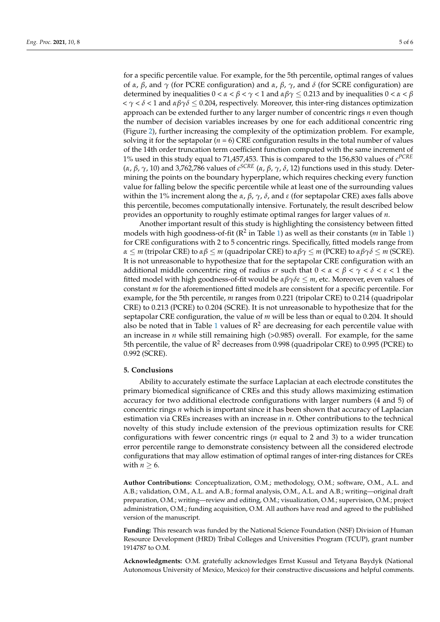for a specific percentile value. For example, for the 5th percentile, optimal ranges of values of *α*, *β*, and *γ* (for PCRE configuration) and *α*, *β*, *γ*, and *δ* (for SCRE configuration) are determined by inequalities  $0 < \alpha < \beta < \gamma < 1$  and  $\alpha\beta\gamma \leq 0.213$  and by inequalities  $0 < \alpha < \beta$  $< \gamma < \delta < 1$  and  $\alpha\beta\gamma\delta \leq 0.204$ , respectively. Moreover, this inter-ring distances optimization approach can be extended further to any larger number of concentric rings *n* even though the number of decision variables increases by one for each additional concentric ring (Figure [2\)](#page-1-1), further increasing the complexity of the optimization problem. For example, solving it for the septapolar  $(n = 6)$  CRE configuration results in the total number of values of the 14th order truncation term coefficient function computed with the same increment of 1% used in this study equal to 71,457,453. This is compared to the 156,830 values of *c PCRE* (*α*, *β*, *γ*, 10) and 3,762,786 values of *c SCRE* (*α*, *β*, *γ*, *δ*, 12) functions used in this study. Determining the points on the boundary hyperplane, which requires checking every function value for falling below the specific percentile while at least one of the surrounding values within the 1% increment along the *α*, *β*, *γ*, *δ*, and *ε* (for septapolar CRE) axes falls above this percentile, becomes computationally intensive. Fortunately, the result described below provides an opportunity to roughly estimate optimal ranges for larger values of *n*.

Another important result of this study is highlighting the consistency between fitted models with high goodness-of-fit (R<sup>2</sup> in Table [1\)](#page-3-1) as well as their constants (*m* in Table [1\)](#page-3-1) for CRE configurations with 2 to 5 concentric rings. Specifically, fitted models range from *α* ≤ *m* (tripolar CRE) to *αβ* ≤ *m* (quadripolar CRE) to *αβγ* ≤ *m* (PCRE) to *αβγδ* ≤ *m* (SCRE). It is not unreasonable to hypothesize that for the septapolar CRE configuration with an additional middle concentric ring of radius *εr* such that  $0 < \alpha < \beta < \gamma < \delta < \epsilon < 1$  the fitted model with high goodness-of-fit would be *αβγδε* ≤ *m*, etc. Moreover, even values of constant *m* for the aforementioned fitted models are consistent for a specific percentile. For example, for the 5th percentile, *m* ranges from 0.221 (tripolar CRE) to 0.214 (quadripolar CRE) to 0.213 (PCRE) to 0.204 (SCRE). It is not unreasonable to hypothesize that for the septapolar CRE configuration, the value of *m* will be less than or equal to 0.204. It should also be noted that in Table [1](#page-3-1) values of  $\mathbb{R}^2$  are decreasing for each percentile value with an increase in  $n$  while still remaining high  $(>0.985)$  overall. For example, for the same 5th percentile, the value of  $R^2$  decreases from 0.998 (quadripolar CRE) to 0.995 (PCRE) to 0.992 (SCRE).

#### **5. Conclusions**

Ability to accurately estimate the surface Laplacian at each electrode constitutes the primary biomedical significance of CREs and this study allows maximizing estimation accuracy for two additional electrode configurations with larger numbers (4 and 5) of concentric rings *n* which is important since it has been shown that accuracy of Laplacian estimation via CREs increases with an increase in *n*. Other contributions to the technical novelty of this study include extension of the previous optimization results for CRE configurations with fewer concentric rings (*n* equal to 2 and 3) to a wider truncation error percentile range to demonstrate consistency between all the considered electrode configurations that may allow estimation of optimal ranges of inter-ring distances for CREs with  $n \geq 6$ .

**Author Contributions:** Conceptualization, O.M.; methodology, O.M.; software, O.M., A.L. and A.B.; validation, O.M., A.L. and A.B.; formal analysis, O.M., A.L. and A.B.; writing—original draft preparation, O.M.; writing—review and editing, O.M.; visualization, O.M.; supervision, O.M.; project administration, O.M.; funding acquisition, O.M. All authors have read and agreed to the published version of the manuscript.

**Funding:** This research was funded by the National Science Foundation (NSF) Division of Human Resource Development (HRD) Tribal Colleges and Universities Program (TCUP), grant number 1914787 to O.M.

**Acknowledgments:** O.M. gratefully acknowledges Ernst Kussul and Tetyana Baydyk (National Autonomous University of Mexico, Mexico) for their constructive discussions and helpful comments.